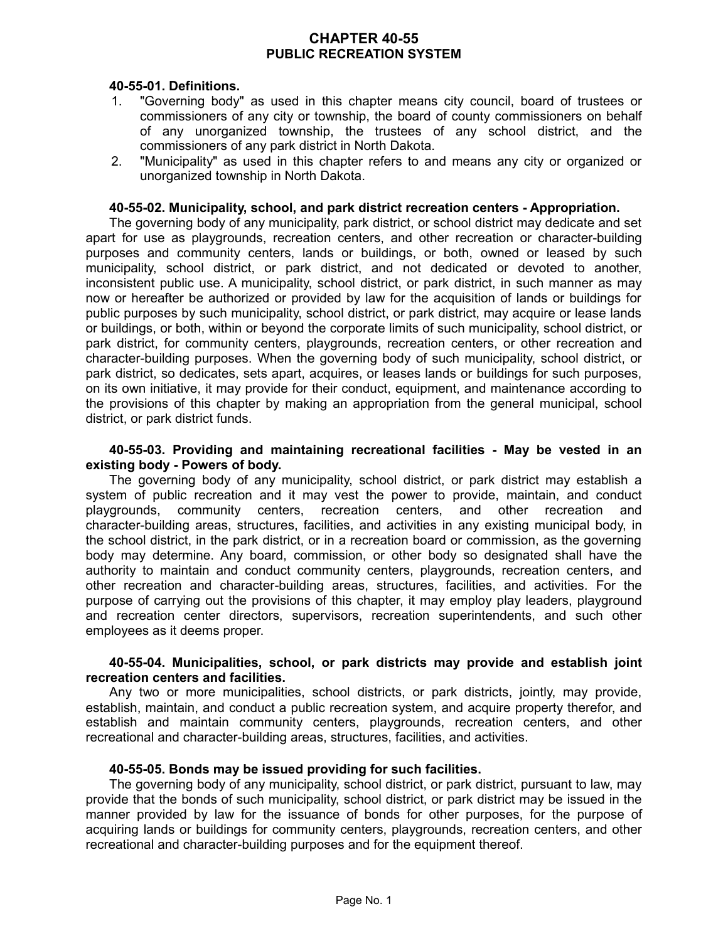# **CHAPTER 40-55 PUBLIC RECREATION SYSTEM**

## **40-55-01. Definitions.**

- 1. "Governing body" as used in this chapter means city council, board of trustees or commissioners of any city or township, the board of county commissioners on behalf of any unorganized township, the trustees of any school district, and the commissioners of any park district in North Dakota.
- 2. "Municipality" as used in this chapter refers to and means any city or organized or unorganized township in North Dakota.

#### **40-55-02. Municipality, school, and park district recreation centers - Appropriation.**

The governing body of any municipality, park district, or school district may dedicate and set apart for use as playgrounds, recreation centers, and other recreation or character-building purposes and community centers, lands or buildings, or both, owned or leased by such municipality, school district, or park district, and not dedicated or devoted to another, inconsistent public use. A municipality, school district, or park district, in such manner as may now or hereafter be authorized or provided by law for the acquisition of lands or buildings for public purposes by such municipality, school district, or park district, may acquire or lease lands or buildings, or both, within or beyond the corporate limits of such municipality, school district, or park district, for community centers, playgrounds, recreation centers, or other recreation and character-building purposes. When the governing body of such municipality, school district, or park district, so dedicates, sets apart, acquires, or leases lands or buildings for such purposes, on its own initiative, it may provide for their conduct, equipment, and maintenance according to the provisions of this chapter by making an appropriation from the general municipal, school district, or park district funds.

### **40-55-03. Providing and maintaining recreational facilities - May be vested in an existing body - Powers of body.**

The governing body of any municipality, school district, or park district may establish a system of public recreation and it may vest the power to provide, maintain, and conduct playgrounds, community centers, recreation centers, and other recreation and character-building areas, structures, facilities, and activities in any existing municipal body, in the school district, in the park district, or in a recreation board or commission, as the governing body may determine. Any board, commission, or other body so designated shall have the authority to maintain and conduct community centers, playgrounds, recreation centers, and other recreation and character-building areas, structures, facilities, and activities. For the purpose of carrying out the provisions of this chapter, it may employ play leaders, playground and recreation center directors, supervisors, recreation superintendents, and such other employees as it deems proper.

### **40-55-04. Municipalities, school, or park districts may provide and establish joint recreation centers and facilities.**

Any two or more municipalities, school districts, or park districts, jointly, may provide, establish, maintain, and conduct a public recreation system, and acquire property therefor, and establish and maintain community centers, playgrounds, recreation centers, and other recreational and character-building areas, structures, facilities, and activities.

### **40-55-05. Bonds may be issued providing for such facilities.**

The governing body of any municipality, school district, or park district, pursuant to law, may provide that the bonds of such municipality, school district, or park district may be issued in the manner provided by law for the issuance of bonds for other purposes, for the purpose of acquiring lands or buildings for community centers, playgrounds, recreation centers, and other recreational and character-building purposes and for the equipment thereof.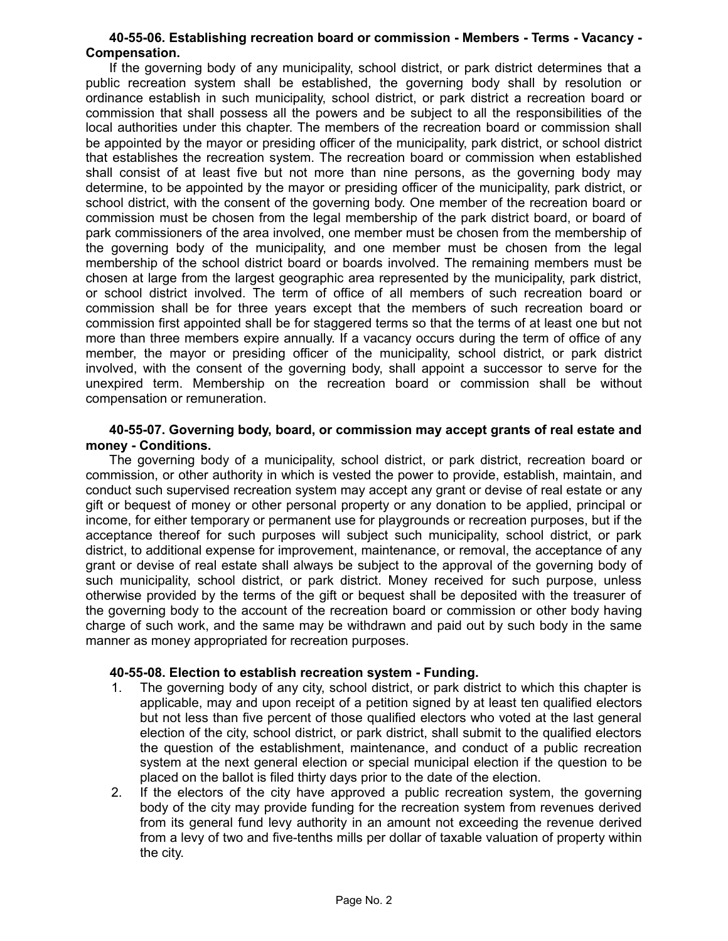## **40-55-06. Establishing recreation board or commission - Members - Terms - Vacancy - Compensation.**

If the governing body of any municipality, school district, or park district determines that a public recreation system shall be established, the governing body shall by resolution or ordinance establish in such municipality, school district, or park district a recreation board or commission that shall possess all the powers and be subject to all the responsibilities of the local authorities under this chapter. The members of the recreation board or commission shall be appointed by the mayor or presiding officer of the municipality, park district, or school district that establishes the recreation system. The recreation board or commission when established shall consist of at least five but not more than nine persons, as the governing body may determine, to be appointed by the mayor or presiding officer of the municipality, park district, or school district, with the consent of the governing body. One member of the recreation board or commission must be chosen from the legal membership of the park district board, or board of park commissioners of the area involved, one member must be chosen from the membership of the governing body of the municipality, and one member must be chosen from the legal membership of the school district board or boards involved. The remaining members must be chosen at large from the largest geographic area represented by the municipality, park district, or school district involved. The term of office of all members of such recreation board or commission shall be for three years except that the members of such recreation board or commission first appointed shall be for staggered terms so that the terms of at least one but not more than three members expire annually. If a vacancy occurs during the term of office of any member, the mayor or presiding officer of the municipality, school district, or park district involved, with the consent of the governing body, shall appoint a successor to serve for the unexpired term. Membership on the recreation board or commission shall be without compensation or remuneration.

#### **40-55-07. Governing body, board, or commission may accept grants of real estate and money - Conditions.**

The governing body of a municipality, school district, or park district, recreation board or commission, or other authority in which is vested the power to provide, establish, maintain, and conduct such supervised recreation system may accept any grant or devise of real estate or any gift or bequest of money or other personal property or any donation to be applied, principal or income, for either temporary or permanent use for playgrounds or recreation purposes, but if the acceptance thereof for such purposes will subject such municipality, school district, or park district, to additional expense for improvement, maintenance, or removal, the acceptance of any grant or devise of real estate shall always be subject to the approval of the governing body of such municipality, school district, or park district. Money received for such purpose, unless otherwise provided by the terms of the gift or bequest shall be deposited with the treasurer of the governing body to the account of the recreation board or commission or other body having charge of such work, and the same may be withdrawn and paid out by such body in the same manner as money appropriated for recreation purposes.

### **40-55-08. Election to establish recreation system - Funding.**

- 1. The governing body of any city, school district, or park district to which this chapter is applicable, may and upon receipt of a petition signed by at least ten qualified electors but not less than five percent of those qualified electors who voted at the last general election of the city, school district, or park district, shall submit to the qualified electors the question of the establishment, maintenance, and conduct of a public recreation system at the next general election or special municipal election if the question to be placed on the ballot is filed thirty days prior to the date of the election.
- 2. If the electors of the city have approved a public recreation system, the governing body of the city may provide funding for the recreation system from revenues derived from its general fund levy authority in an amount not exceeding the revenue derived from a levy of two and five-tenths mills per dollar of taxable valuation of property within the city.